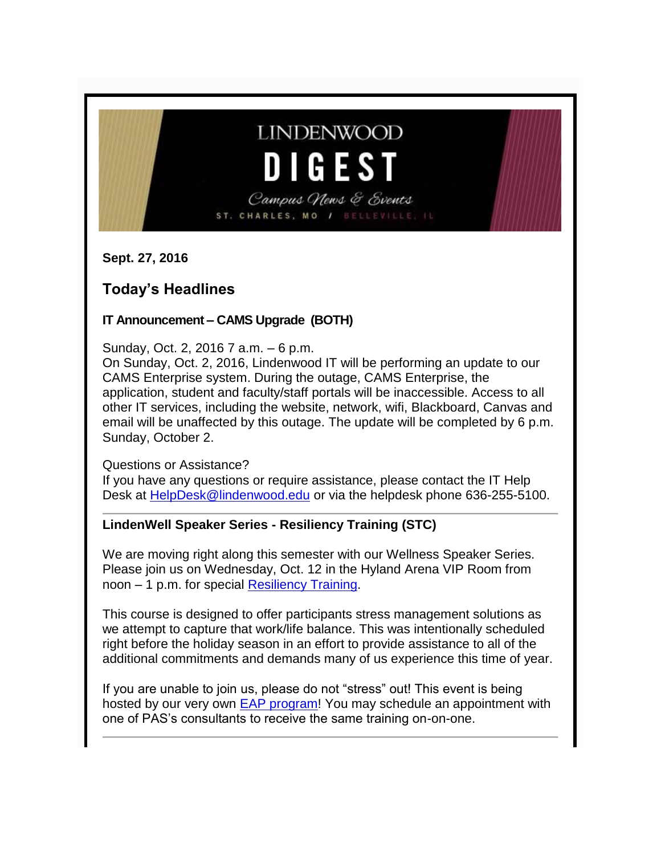# **LINDENWOOD DIGEST**

Campus News & Events ST. CHARLES, MO / BELLEVILLE,

**Sept. 27, 2016**

# **Today's Headlines**

### **IT Announcement – CAMS Upgrade (BOTH)**

Sunday, Oct. 2, 2016 7 a.m. – 6 p.m.

On Sunday, Oct. 2, 2016, Lindenwood IT will be performing an update to our CAMS Enterprise system. During the outage, CAMS Enterprise, the application, student and faculty/staff portals will be inaccessible. Access to all other IT services, including the website, network, wifi, Blackboard, Canvas and email will be unaffected by this outage. The update will be completed by 6 p.m. Sunday, October 2.

Questions or Assistance?

If you have any questions or require assistance, please contact the IT Help Desk at [HelpDesk@lindenwood.edu](mailto:HelpDesk@lindenwood.edu) or via the helpdesk phone 636-255-5100.

## **LindenWell Speaker Series - Resiliency Training (STC)**

We are moving right along this semester with our Wellness Speaker Series. Please join us on Wednesday, Oct. 12 in the Hyland Arena VIP Room from noon – 1 p.m. for special [Resiliency Training.](http://felix.lindenwood.edu/newsletter/2016_09/resiliencytraining.pdf)

This course is designed to offer participants stress management solutions as we attempt to capture that work/life balance. This was intentionally scheduled right before the holiday season in an effort to provide assistance to all of the additional commitments and demands many of us experience this time of year.

If you are unable to join us, please do not "stress" out! This event is being hosted by our very own [EAP program!](http://felix.lindenwood.edu/newsletter/2016_09/eapbrochure.pdf) You may schedule an appointment with one of PAS's consultants to receive the same training on-on-one.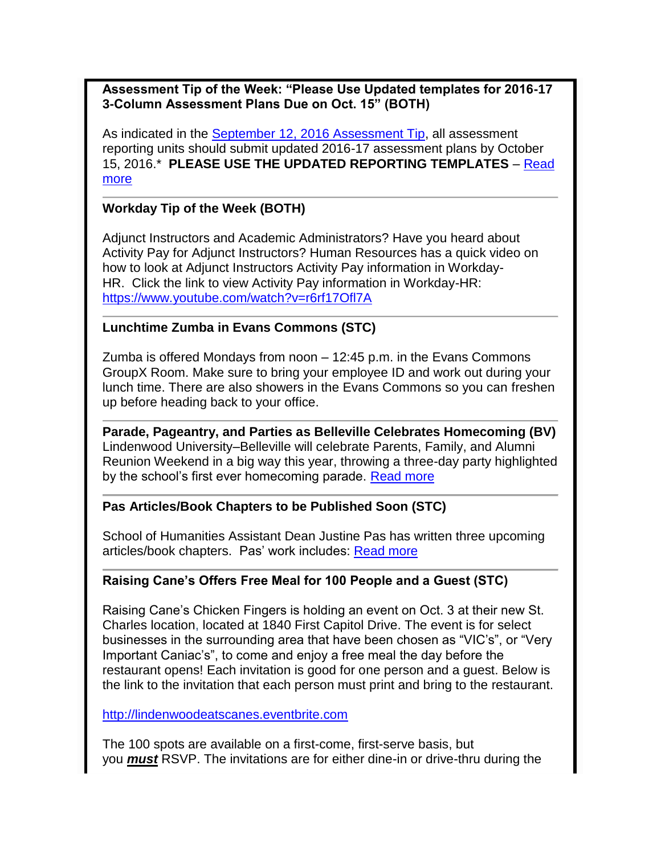#### **Assessment Tip of the Week: "Please Use Updated templates for 2016-17 3-Column Assessment Plans Due on Oct. 15" (BOTH)**

As indicated in the September [12, 2016 Assessment Tip,](http://lindenwood.libguides.com/ld.php?content_id=25385594) all assessment reporting units should submit updated 2016-17 assessment plans by October 15, 2016.\* **PLEASE USE THE UPDATED REPORTING TEMPLATES** – [Read](http://felix.lindenwood.edu/newsletter/2016_09/assessment_09_27.pdf)  [more](http://felix.lindenwood.edu/newsletter/2016_09/assessment_09_27.pdf)

#### **Workday Tip of the Week (BOTH)**

Adjunct Instructors and Academic Administrators? Have you heard about Activity Pay for Adjunct Instructors? Human Resources has a quick video on how to look at Adjunct Instructors Activity Pay information in Workday-HR. Click the link to view Activity Pay information in Workday-HR: <https://www.youtube.com/watch?v=r6rf17Ofl7A>

#### **Lunchtime Zumba in Evans Commons (STC)**

Zumba is offered Mondays from noon – 12:45 p.m. in the Evans Commons GroupX Room. Make sure to bring your employee ID and work out during your lunch time. There are also showers in the Evans Commons so you can freshen up before heading back to your office.

**Parade, Pageantry, and Parties as Belleville Celebrates Homecoming (BV)** Lindenwood University–Belleville will celebrate Parents, Family, and Alumni Reunion Weekend in a big way this year, throwing a three-day party highlighted by the school's first ever homecoming parade. [Read more](http://www.lindenwood.edu/belleville/about/news/details/parade-pageantry-and-parties-as-belleville-celebrates-homecoming/)

#### **Pas Articles/Book Chapters to be Published Soon (STC)**

School of Humanities Assistant Dean Justine Pas has written three upcoming articles/book chapters. Pas' work includes: [Read more](http://felix.lindenwood.edu/newsletter/2016_09/pas.pdf)

#### **Raising Cane's Offers Free Meal for 100 People and a Guest (STC)**

Raising Cane's Chicken Fingers is holding an event on Oct. 3 at their new St. Charles location, located at 1840 First Capitol Drive. The event is for select businesses in the surrounding area that have been chosen as "VIC's", or "Very Important Caniac's", to come and enjoy a free meal the day before the restaurant opens! Each invitation is good for one person and a guest. Below is the link to the invitation that each person must print and bring to the restaurant.

[http://lindenwoodeatscanes.eventbrite.com](http://lindenwoodeatscanes.eventbrite.com/)

The 100 spots are available on a first-come, first-serve basis, but you *must* RSVP. The invitations are for either dine-in or drive-thru during the